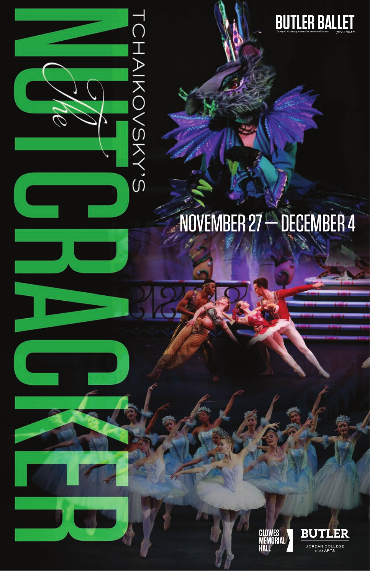



# NOVEMBER 27 — DECEMBER 4



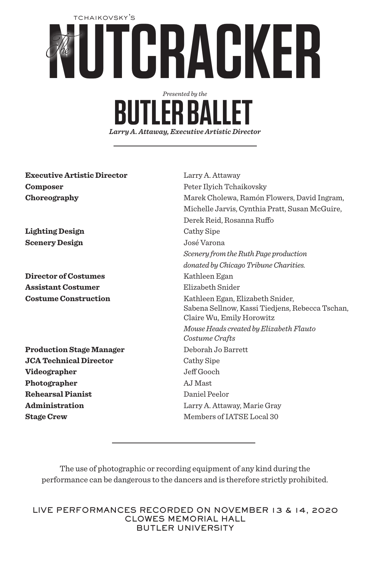## *Larry A. Attaway, Executive Artistic Director Presented by the* **BUTLER BALLET NUTCRACKER** tchaikovsky's 'The

| <b>Executive Artistic Director</b> | Larry A. Attaway                                                                    |
|------------------------------------|-------------------------------------------------------------------------------------|
| Composer                           | Peter Ilyich Tchaikovsky                                                            |
| Choreography                       | Marek Cholewa, Ramón Flowers, David Ingram,                                         |
|                                    | Michelle Jarvis, Cynthia Pratt, Susan McGuire,                                      |
|                                    | Derek Reid, Rosanna Ruffo                                                           |
| <b>Lighting Design</b>             | Cathy Sipe                                                                          |
| <b>Scenery Design</b>              | José Varona                                                                         |
|                                    | Scenery from the Ruth Page production                                               |
|                                    | donated by Chicago Tribune Charities.                                               |
| Director of Costumes               | Kathleen Egan                                                                       |
| <b>Assistant Costumer</b>          | Elizabeth Snider                                                                    |
| <b>Costume Construction</b>        | Kathleen Egan, Elizabeth Snider,<br>Sabena Sellnow, Kassi Tiedjens, Rebecca Tschan, |
|                                    | Claire Wu, Emily Horowitz                                                           |
|                                    | Mouse Heads created by Elizabeth Flauto                                             |
|                                    | Costume Crafts                                                                      |
| <b>Production Stage Manager</b>    | Deborah Jo Barrett                                                                  |
| <b>JCA Technical Director</b>      | Cathy Sipe                                                                          |
| Videographer                       | Jeff Gooch                                                                          |
| Photographer                       | AJ Mast                                                                             |
| <b>Rehearsal Pianist</b>           | Daniel Peelor                                                                       |
| Administration                     | Larry A. Attaway, Marie Gray                                                        |
| <b>Stage Crew</b>                  | Members of JATSE Local 30                                                           |
|                                    |                                                                                     |

The use of photographic or recording equipment of any kind during the performance can be dangerous to the dancers and is therefore strictly prohibited.

LIVE PERFORMANCES RECORDED ON NOVEMBER 13 & 14, 2020 CLOWES MEMORIAL HALL BUTLER UNIVERSITY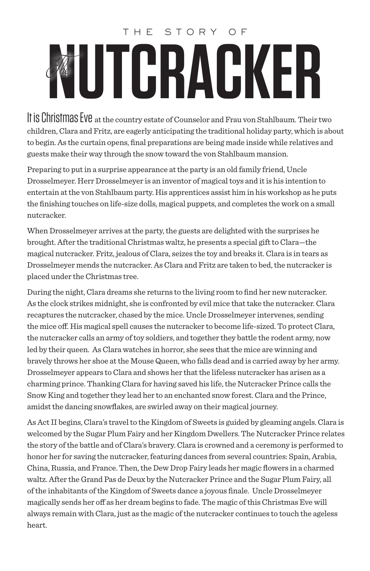# THE STORY OF **MUTCRACKER**

It is Christmas Eve at the country estate of Counselor and Frau von Stahlbaum. Their two children, Clara and Fritz, are eagerly anticipating the traditional holiday party, which is about to begin. As the curtain opens, final preparations are being made inside while relatives and guests make their way through the snow toward the von Stahlbaum mansion.

Preparing to put in a surprise appearance at the party is an old family friend, Uncle Drosselmeyer. Herr Drosselmeyer is an inventor of magical toys and it is his intention to entertain at the von Stahlbaum party. His apprentices assist him in his workshop as he puts the finishing touches on life-size dolls, magical puppets, and completes the work on a small nutcracker.

When Drosselmeyer arrives at the party, the guests are delighted with the surprises he brought. After the traditional Christmas waltz, he presents a special gift to Clara—the magical nutcracker. Fritz, jealous of Clara, seizes the toy and breaks it. Clara is in tears as Drosselmeyer mends the nutcracker. As Clara and Fritz are taken to bed, the nutcracker is placed under the Christmas tree.

During the night, Clara dreams she returns to the living room to find her new nutcracker. As the clock strikes midnight, she is confronted by evil mice that take the nutcracker. Clara recaptures the nutcracker, chased by the mice. Uncle Drosselmeyer intervenes, sending the mice off. His magical spell causes the nutcracker to become life-sized. To protect Clara, the nutcracker calls an army of toy soldiers, and together they battle the rodent army, now led by their queen. As Clara watches in horror, she sees that the mice are winning and bravely throws her shoe at the Mouse Queen, who falls dead and is carried away by her army. Drosselmeyer appears to Clara and shows her that the lifeless nutcracker has arisen as a charming prince. Thanking Clara for having saved his life, the Nutcracker Prince calls the Snow King and together they lead her to an enchanted snow forest. Clara and the Prince, amidst the dancing snowflakes, are swirled away on their magical journey.

As Act II begins, Clara's travel to the Kingdom of Sweets is guided by gleaming angels. Clara is welcomed by the Sugar Plum Fairy and her Kingdom Dwellers. The Nutcracker Prince relates the story of the battle and of Clara's bravery. Clara is crowned and a ceremony is performed to honor her for saving the nutcracker, featuring dances from several countries: Spain, Arabia, China, Russia, and France. Then, the Dew Drop Fairy leads her magic flowers in a charmed waltz. After the Grand Pas de Deux by the Nutcracker Prince and the Sugar Plum Fairy, all of the inhabitants of the Kingdom of Sweets dance a joyous finale. Uncle Drosselmeyer magically sends her off as her dream begins to fade. The magic of this Christmas Eve will always remain with Clara, just as the magic of the nutcracker continues to touch the ageless heart.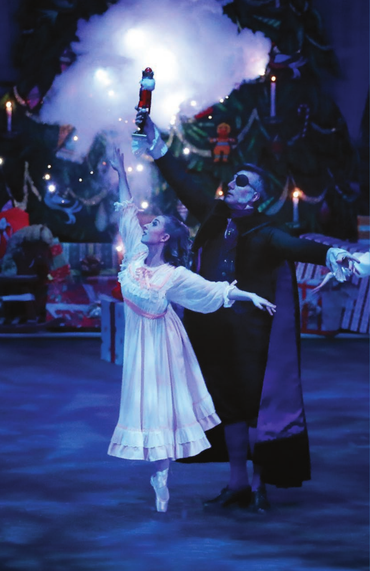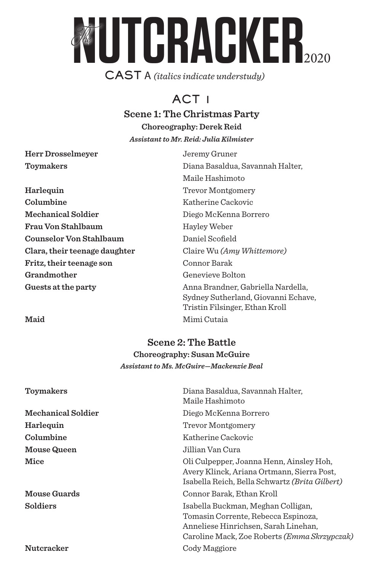

## ACT 1

## **Scene 1: The Christmas Party Choreography: Derek Reid**

*Assistant to Mr. Reid: Julia Kilmister*

**Herr Drosselmeyer** Jeremy Gruner

**Harlequin** Trevor Montgomery **Columbine** Katherine Cackovic **Mechanical Soldier** Diego McKenna Borrero **Frau Von Stahlbaum** Hayley Weber **Counselor Von Stahlbaum** Daniel Scofield **Clara, their teenage daughter** Claire Wu *(Amy Whittemore)* **Fritz, their teenage son** Connor Barak **Grandmother Genevieve Bolton** 

**Toymakers Diana Basaldua, Savannah Halter,** Maile Hashimoto **Guests at the party** Anna Brandner, Gabriella Nardella, Sydney Sutherland, Giovanni Echave, Tristin Filsinger, Ethan Kroll **Maid** Mimi Cutaia

#### **Scene 2: The Battle**

**Choreography: Susan McGuire** *Assistant to Ms. McGuire—Mackenzie Beal* 

| Diana Basaldua, Savannah Halter,<br>Toymakers<br>Maile Hashimoto<br>Mechanical Soldier<br>Diego McKenna Borrero<br>Harlequin<br>Trevor Montgomery<br>Columbine<br>Katherine Cackovic<br><b>Mouse Queen</b><br>Jillian Van Cura.<br><b>Mice</b><br>Oli Culpepper, Joanna Henn, Ainsley Hoh,<br>Avery Klinck, Ariana Ortmann, Sierra Post,<br>Isabella Reich, Bella Schwartz (Brita Gilbert)<br>Mouse Guards<br>Connor Barak, Ethan Kroll<br><b>Soldiers</b><br>Isabella Buckman, Meghan Colligan,<br>Tomasin Corrente, Rebecca Espinoza,<br>Anneliese Hinrichsen, Sarah Linehan,<br>Cody Maggiore<br>Nutcracker |                                                     |
|----------------------------------------------------------------------------------------------------------------------------------------------------------------------------------------------------------------------------------------------------------------------------------------------------------------------------------------------------------------------------------------------------------------------------------------------------------------------------------------------------------------------------------------------------------------------------------------------------------------|-----------------------------------------------------|
|                                                                                                                                                                                                                                                                                                                                                                                                                                                                                                                                                                                                                |                                                     |
|                                                                                                                                                                                                                                                                                                                                                                                                                                                                                                                                                                                                                |                                                     |
|                                                                                                                                                                                                                                                                                                                                                                                                                                                                                                                                                                                                                |                                                     |
|                                                                                                                                                                                                                                                                                                                                                                                                                                                                                                                                                                                                                |                                                     |
|                                                                                                                                                                                                                                                                                                                                                                                                                                                                                                                                                                                                                |                                                     |
|                                                                                                                                                                                                                                                                                                                                                                                                                                                                                                                                                                                                                |                                                     |
|                                                                                                                                                                                                                                                                                                                                                                                                                                                                                                                                                                                                                |                                                     |
|                                                                                                                                                                                                                                                                                                                                                                                                                                                                                                                                                                                                                | Caroline Mack, Zoe Roberts <i>(Emma Skrzypczak)</i> |
|                                                                                                                                                                                                                                                                                                                                                                                                                                                                                                                                                                                                                |                                                     |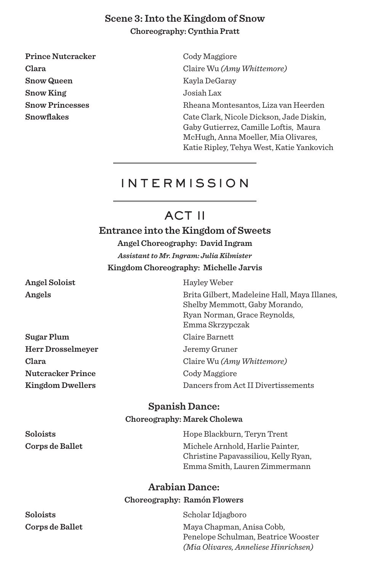#### **Scene 3: Into the Kingdom of Snow Choreography: Cynthia Pratt**

**Prince Nutcracker** Cody Maggiore **Snow Queen** Kayla DeGaray **Snow King** Josiah Lax

**Clara** Claire Wu *(Amy Whittemore)* **Snow Princesses** Rheana Montesantos, Liza van Heerden **Snowflakes** Cate Clark, Nicole Dickson, Jade Diskin, Gaby Gutierrez, Camille Loftis, Maura McHugh, Anna Moeller, Mia Olivares, Katie Ripley, Tehya West, Katie Yankovich

## INTERMISSION

## ACT II

#### **Entrance into the Kingdom of Sweets**

**Angel Choreography: David Ingram**  *Assistant to Mr. Ingram: Julia Kilmister* **Kingdom Choreography: Michelle Jarvis**

| Angel Soloist            | Hayley Weber                                                                                                                     |
|--------------------------|----------------------------------------------------------------------------------------------------------------------------------|
| Angels                   | Brita Gilbert, Madeleine Hall, Maya Illanes,<br>Shelby Memmott, Gaby Morando,<br>Ryan Norman, Grace Reynolds,<br>Emma Skrzypczak |
| Sugar Plum               | Claire Barnett                                                                                                                   |
| <b>Herr Drosselmeyer</b> | Jeremy Gruner                                                                                                                    |
| Clara                    | Claire Wu (Amy Whittemore)                                                                                                       |
| <b>Nutcracker Prince</b> | Cody Maggiore                                                                                                                    |
| <b>Kingdom Dwellers</b>  | Dancers from Act II Divertissements                                                                                              |
|                          |                                                                                                                                  |

#### **Spanish Dance:**

#### **Choreography: Marek Cholewa**

| Soloists        | Hope Blackburn, Tervn Trent          |
|-----------------|--------------------------------------|
| Corps de Ballet | Michele Arnhold, Harlie Painter,     |
|                 | Christine Papayassiliou, Kelly Ryan, |
|                 | Emma Smith, Lauren Zimmermann        |

#### **Arabian Dance: Choreography: Ramón Flowers**

| Soloists        | Scholar Idiagboro                    |
|-----------------|--------------------------------------|
| Corps de Ballet | Maya Chapman, Anisa Cobb,            |
|                 | Penelope Schulman, Beatrice Wooster  |
|                 | (Mia Olivares, Anneliese Hinrichsen) |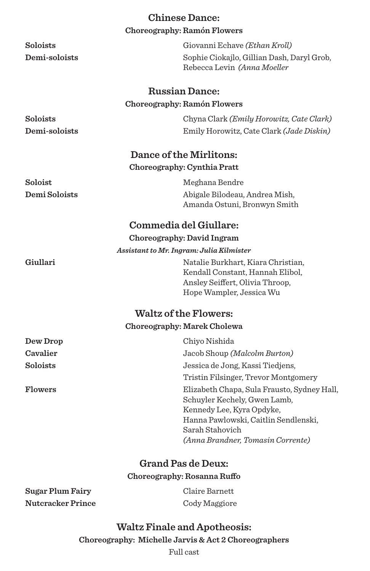#### **Chinese Dance: Choreography: Ramón Flowers**

**Soloists** Giovanni Echave *(Ethan Kroll)* **Demi-soloists** Sophie Ciokajlo, Gillian Dash, Daryl Grob, Rebecca Levin *(Anna Moeller*

> **Russian Dance: Choreography: Ramón Flowers**

**Soloists** Chyna Clark *(Emily Horowitz, Cate Clark)* **Demi-soloists** Emily Horowitz, Cate Clark *(Jade Diskin)*

#### **Dance of the Mirlitons: Choreography: Cynthia Pratt**

**Soloist** Meghana Bendre **Demi Soloists** Abigale Bilodeau, Andrea Mish, Amanda Ostuni, Bronwyn Smith

## **Commedia del Giullare:**

#### **Choreography: David Ingram**

*Assistant to Mr. Ingram: Julia Kilmister*

**Giullari** Natalie Burkhart, Kiara Christian, Kendall Constant, Hannah Elibol, Ansley Seiffert, Olivia Throop, Hope Wampler, Jessica Wu

## **Waltz of the Flowers:**

#### **Choreography: Marek Cholewa**

| Dew Drop | Chiyo Nishida                               |
|----------|---------------------------------------------|
| Cavalier | Jacob Shoup (Malcolm Burton)                |
| Soloists | Jessica de Jong, Kassi Tiedjens,            |
|          | Tristin Filsinger, Trevor Montgomery        |
| Flowers  | Elizabeth Chapa, Sula Frausto, Sydney Hall, |
|          | Schuyler Kechely, Gwen Lamb,                |
|          | Kennedy Lee, Kyra Opdyke,                   |
|          | Hanna Pawlowski, Caitlin Sendlenski,        |
|          | Sarah Stahovich                             |
|          | (Anna Brandner, Tomasin Corrente)           |
|          |                                             |

#### **Grand Pas de Deux:**

#### **Choreography: Rosanna Ruffo**

| <b>Sugar Plum Fairy</b>  | Claire Barnett |
|--------------------------|----------------|
| <b>Nutcracker Prince</b> | Cody Maggiore  |

#### **Waltz Finale and Apotheosis: Choreography: Michelle Jarvis & Act 2 Choreographers**

Full cast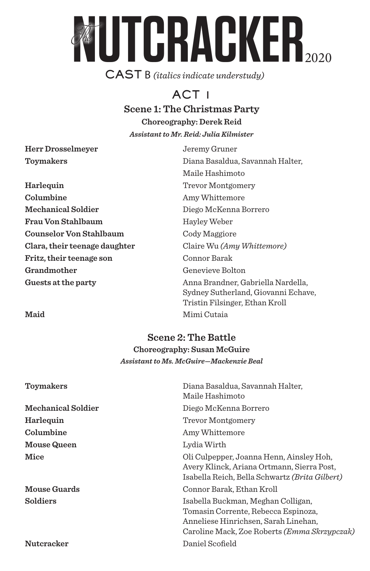

## ACT 1

## **Scene 1: The Christmas Party Choreography: Derek Reid**

*Assistant to Mr. Reid: Julia Kilmister*

**Herr Drosselmeyer** Jeremy Gruner

**Harlequin** Trevor Montgomery **Columbine** Amy Whittemore **Mechanical Soldier** Diego McKenna Borrero **Frau Von Stahlbaum** Hayley Weber **Counselor Von Stahlbaum** Cody Maggiore **Clara, their teenage daughter** Claire Wu *(Amy Whittemore)* **Fritz, their teenage son** Connor Barak **Grandmother Genevieve Bolton** 

**Toymakers Diana Basaldua, Savannah Halter,** Maile Hashimoto **Guests at the party Anna Brandner, Gabriella Nardella, Anna Brandner, Gabriella Nardella,** Sydney Sutherland, Giovanni Echave, Tristin Filsinger, Ethan Kroll

**Maid** Mimi Cutaia

## **Scene 2: The Battle**

**Choreography: Susan McGuire** *Assistant to Ms. McGuire—Mackenzie Beal*

| <b>Toymakers</b>          | Diana Basaldua, Savannah Halter,<br>Maile Hashimoto                                                                                                                      |
|---------------------------|--------------------------------------------------------------------------------------------------------------------------------------------------------------------------|
| <b>Mechanical Soldier</b> | Diego McKenna Borrero                                                                                                                                                    |
| Harlequin                 | Trevor Montgomery                                                                                                                                                        |
| Columbine                 | Amy Whittemore                                                                                                                                                           |
| <b>Mouse Queen</b>        | Lydia Wirth                                                                                                                                                              |
| Mice                      | Oli Culpepper, Joanna Henn, Ainsley Hoh,<br>Avery Klinck, Ariana Ortmann, Sierra Post,<br>Isabella Reich, Bella Schwartz (Brita Gilbert)                                 |
| Mouse Guards              | Connor Barak, Ethan Kroll                                                                                                                                                |
| <b>Soldiers</b>           | Isabella Buckman, Meghan Colligan,<br>Tomasin Corrente, Rebecca Espinoza,<br>Anneliese Hinrichsen, Sarah Linehan,<br>Caroline Mack, Zoe Roberts <i>(Emma Skrzypczak)</i> |
| Nutcracker                | Daniel Scofield                                                                                                                                                          |
|                           |                                                                                                                                                                          |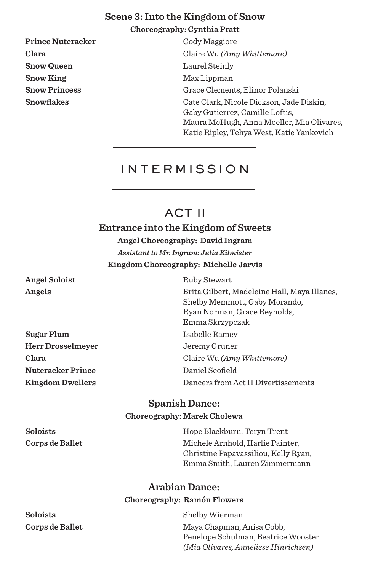#### **Scene 3: Into the Kingdom of Snow Choreography: Cynthia Pratt**

**Prince Nutcracker Cody Maggiore Snow Queen** Laurel Steinly **Snow King** Max Lippman

**Clara** Claire Wu *(Amy Whittemore)* **Snow Princess** Grace Clements, Elinor Polanski **Snowflakes Cate Clark, Nicole Dickson, Jade Diskin, Snowflakes** Gaby Gutierrez, Camille Loftis, Maura McHugh, Anna Moeller, Mia Olivares, Katie Ripley, Tehya West, Katie Yankovich

## INTERMISSION

## ACT II

#### **Entrance into the Kingdom of Sweets**

**Angel Choreography: David Ingram**  *Assistant to Mr. Ingram: Julia Kilmister* **Kingdom Choreography: Michelle Jarvis**

| Brita Gilbert, Madeleine Hall, Maya Illanes,<br>Shelby Memmott, Gaby Morando,<br>Ryan Norman, Grace Reynolds,<br>Emma Skrzypczak<br>Isabelle Ramey<br>Jeremy Gruner<br>Claire Wu (Amy Whittemore)<br>Daniel Scofield<br>Dancers from Act II Divertissements | Angel Soloist            | Ruby Stewart |
|-------------------------------------------------------------------------------------------------------------------------------------------------------------------------------------------------------------------------------------------------------------|--------------------------|--------------|
|                                                                                                                                                                                                                                                             | Angels                   |              |
|                                                                                                                                                                                                                                                             |                          |              |
|                                                                                                                                                                                                                                                             |                          |              |
|                                                                                                                                                                                                                                                             |                          |              |
|                                                                                                                                                                                                                                                             | Sugar Plum               |              |
|                                                                                                                                                                                                                                                             | <b>Herr Drosselmeyer</b> |              |
|                                                                                                                                                                                                                                                             | Clara                    |              |
|                                                                                                                                                                                                                                                             | <b>Nutcracker Prince</b> |              |
|                                                                                                                                                                                                                                                             | <b>Kingdom Dwellers</b>  |              |

#### **Spanish Dance:**

#### **Choreography: Marek Cholewa**

| Soloists        | Hope Blackburn, Teryn Trent          |
|-----------------|--------------------------------------|
| Corps de Ballet | Michele Arnhold, Harlie Painter.     |
|                 | Christine Papayassiliou, Kelly Ryan, |
|                 | Emma Smith, Lauren Zimmermann        |

#### **Arabian Dance: Choreography: Ramón Flowers**

| Soloists        | Shelby Wierman                       |
|-----------------|--------------------------------------|
| Corps de Ballet | Maya Chapman, Anisa Cobb,            |
|                 | Penelope Schulman, Beatrice Wooster  |
|                 | (Mia Olivares, Anneliese Hinrichsen) |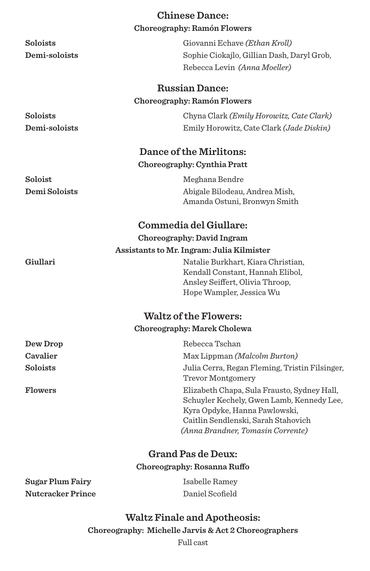#### **Chinese Dance: Choreography: Ramón Flowers**

**Soloists** Giovanni Echave *(Ethan Kroll)* **Demi-soloists** Sophie Ciokajlo, Gillian Dash, Daryl Grob, Rebecca Levin *(Anna Moeller)*

#### **Russian Dance: Choreography: Ramón Flowers**

**Soloists** Chyna Clark *(Emily Horowitz, Cate Clark)* **Demi-soloists** Emily Horowitz, Cate Clark *(Jade Diskin)*

#### **Dance of the Mirlitons: Choreography: Cynthia Pratt**

**Soloist** Meghana Bendre **Demi Soloists** Abigale Bilodeau, Andrea Mish, Amanda Ostuni, Bronwyn Smith

#### **Commedia del Giullare:**

#### **Choreography: David Ingram Assistants to Mr. Ingram: Julia Kilmister**

**Giullari** Natalie Burkhart, Kiara Christian, Kendall Constant, Hannah Elibol, Ansley Seiffert, Olivia Throop, Hope Wampler, Jessica Wu

#### **Waltz of the Flowers:**

#### **Choreography: Marek Cholewa**

| Dew Drop | Rebecca Tschan                                                                                                                                                                                        |
|----------|-------------------------------------------------------------------------------------------------------------------------------------------------------------------------------------------------------|
| Cavalier | Max Lippman (Malcolm Burton)                                                                                                                                                                          |
|          | Julia Cerra, Regan Fleming, Tristin Filsinger,<br><b>Trevor Montgomery</b>                                                                                                                            |
| Flowers  | Elizabeth Chapa, Sula Frausto, Sydney Hall,<br>Schuyler Kechely, Gwen Lamb, Kennedy Lee,<br>Kyra Opdyke, Hanna Pawlowski,<br>Caitlin Sendlenski, Sarah Stahovich<br>(Anna Brandner, Tomasin Corrente) |

#### **Grand Pas de Deux:**

#### **Choreography: Rosanna Ruffo**

**Sugar Plum Fairy** Isabelle Ramey **Nutcracker Prince Daniel Scofield** 

#### **Waltz Finale and Apotheosis:**

**Choreography: Michelle Jarvis & Act 2 Choreographers**

Full cast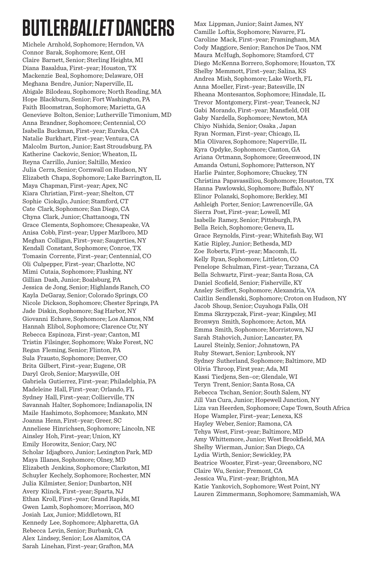# **BUTLERBALLET DANCERS**

Michele Arnhold, Sophomore; Herndon, VA Connor Barak, Sophomore; Kent, OH Claire Barnett, Senior; Sterling Heights, MI Diana Basaldua, First–year; Houston, TX Mackenzie Beal, Sophomore; Delaware, OH Meghana Bendre, Junior; Naperville, IL Abigale Bilodeau, Sophomore; North Reading, MA Hope Blackburn, Senior; Fort Washington, PA Faith Bloomstran, Sophomore; Marietta, GA Genevieve Bolton, Senior; Lutherville Timonium, MD Anna Brandner, Sophomore; Centennial, CO Isabella Buckman, First–year; Eureka, CA Natalie Burkhart, First–year; Ventura, CA Malcolm Burton, Junior; East Stroudsburg, PA Katherine Cackovic, Senior; Wheaton, IL Reyna Carrillo, Junior; Saltillo, Mexico Julia Cerra, Senior; Cornwall on Hudson, NY Elizabeth Chapa, Sophomore; Lake Barrington, IL Maya Chapman, First–year; Apex, NC Kiara Christian, First–year; Shelton, CT Sophie Ciokajlo, Junior; Stamford, CT Cate Clark, Sophomore; San Diego, CA Chyna Clark, Junior; Chattanooga, TN Grace Clements, Sophomore; Chesapeake, VA Anisa Cobb, First–year; Upper Marlboro, MD Meghan Colligan, First–year; Saugerties, NY Kendall Constant, Sophomore; Conroe, TX Tomasin Corrente, First–year; Centennial, CO Oli Culpepper, First–year; Charlotte, NC Mimi Cutaia, Sophomore; Flushing, NY Gillian Dash, Junior; Boalsburg, PA Jessica de Jong, Senior; Highlands Ranch, CO Kayla DeGaray, Senior; Colorado Springs, CO Nicole Dickson, Sophomore; Chester Springs, PA Jade Diskin, Sophomore; Sag Harbor, NY Giovanni Echave, Sophomore; Los Alamos, NM Hannah Elibol, Sophomore; Clarence Ctr, NY Rebecca Espinoza, First–year; Canton, MI Tristin Filsinger, Sophomore; Wake Forest, NC Regan Fleming, Senior; Flinton, PA Sula Frausto, Sophomore; Denver, CO Brita Gilbert, First–year; Eugene, OR Daryl Grob, Senior; Marysville, OH Gabriela Gutierrez, First–year; Philadelphia, PA Madeleine Hall, First–year; Orlando, FL Sydney Hall, First–year; Collierville, TN Savannah Halter, Sophomore; Indianapolis, IN Maile Hashimoto, Sophomore; Mankato, MN Joanna Henn, First–year; Greer, SC Anneliese Hinrichsen, Sophomore; Lincoln, NE Ainsley Hoh, First–year; Union, KY Emily Horowitz, Senior; Cary, NC Scholar Idjagboro, Junior; Lexington Park, MD Maya Illanes, Sophomore; Olney, MD Elizabeth Jenkins, Sophomore; Clarkston, MI Schuyler Kechely, Sophomore; Rochester, MN Julia Kilmister, Senior; Dunbarton, NH Avery Klinck, First–year; Sparta, NJ Ethan Kroll, First–year; Grand Rapids, MI Gwen Lamb, Sophomore; Morrison, MO Josiah Lax, Junior; Middletown, RI Kennedy Lee, Sophomore; Alpharetta, GA Rebecca Levin, Senior; Burbank, CA Alex Lindsey, Senior; Los Alamitos, CA Sarah Linehan, First–year; Grafton, MA

Max Lippman, Junior; Saint James, NY Camille Loftis, Sophomore; Navarre, FL Caroline Mack, First–year; Framingham, MA Cody Maggiore, Senior; Ranchos De Taos, NM Maura McHugh, Sophomore; Stamford, CT Diego McKenna Borrero, Sophomore; Houston, TX Shelby Memmott, First–year; Salina, KS Andrea Mish, Sophomore; Lake Worth, FL Anna Moeller, First–year; Batesville, IN Rheana Montesantos, Sophomore; Hinsdale, IL Trevor Montgomery, First–year; Teaneck, NJ Gabi Morando, First–year; Mansfield, OH Gaby Nardella, Sophomore; Newton, MA Chiyo Nishida, Senior; Osaka , Japan Ryan Norman, First–year; Chicago, IL Mia Olivares, Sophomore; Naperville, IL Kyra Opdyke, Sophomore; Canton, GA Ariana Ortmann, Sophomore; Greenwood, IN Amanda Ostuni, Sophomore; Patterson, NY Harlie Painter, Sophomore; Chuckey, TN Christina Papavassiliou, Sophomore; Houston, TX Hanna Pawlowski, Sophomore; Buffalo, NY Elinor Polanski, Sophomore; Berkley, MI Ashleigh Porter, Senior; Lawrenceville, GA Sierra Post, First–year; Lowell, MI Isabelle Ramey, Senior; Pittsburgh, PA Bella Reich, Sophomore; Geneva, IL Grace Reynolds, First–year; Whitefish Bay, WI Katie Ripley, Junior; Bethesda, MD Zoe Roberts, First–year; Macomb, IL Kelly Ryan, Sophomore; Littleton, CO Penelope Schulman, First–year; Tarzana, CA Bella Schwartz, First–year; Santa Rosa, CA Daniel Scofield, Senior; Fisherville, KY Ansley Seiffert, Sophomore; Alexandria, VA Caitlin Sendlenski, Sophomore; Croton on Hudson, NY Jacob Shoup, Senior; Cuyahoga Falls, OH Emma Skrzypczak, First–year; Kingsley, MI Bronwyn Smith, Sophomore; Acton, MA Emma Smith, Sophomore; Morristown, NJ Sarah Stahovich, Junior; Lancaster, PA Laurel Steinly, Senior; Johnstown, PA Ruby Stewart, Senior; Lynbrook, NY Sydney Sutherland, Sophomore; Baltimore, MD Olivia Throop, First year; Ada, MI Kassi Tiedjens, Sen–or; Glendale, WI Teryn Trent, Senior; Santa Rosa, CA Rebecca Tschan, Senior; South Salem, NY Jill Van Cura, Junior; Hopewell Junction, NY Liza van Heerden, Sophomore; Cape Town, South Africa Hope Wampler, First–year; Lenexa, KS Hayley Weber, Senior; Ramona, CA Tehya West, First–year; Baltimore, MD Amy Whittemore, Junior; West Brookfield, MA Shelby Wierman, Junior; San Diego, CA Lydia Wirth, Senior; Sewickley, PA Beatrice Wooster, First–year; Greensboro, NC Claire Wu, Senior; Fremont, CA Jessica Wu, First–year; Brighton, MA Katie Yankovich, Sophomore; West Point, NY Lauren Zimmermann, Sophomore; Sammamish, WA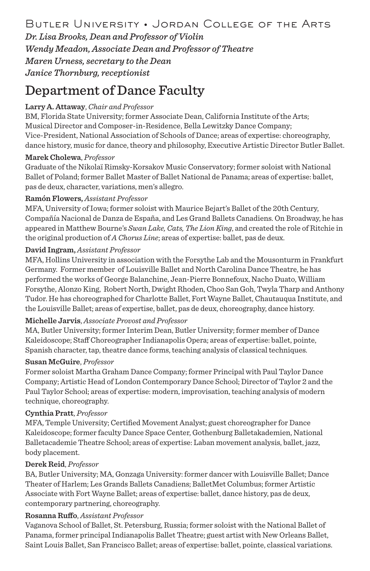### Butler University • Jordan College of the Arts

*Dr. Lisa Brooks, Dean and Professor of Violin Wendy Meadon, Associate Dean and Professor of Theatre Maren Urness, secretary to the Dean Janice Thornburg, receptionist*

## Department of Dance Faculty

#### **Larry A. Attaway**, *Chair and Professor*

BM, Florida State University; former Associate Dean, California Institute of the Arts; Musical Director and Composer-in-Residence, Bella Lewitzky Dance Company; Vice-President, National Association of Schools of Dance; areas of expertise: choreography, dance history, music for dance, theory and philosophy, Executive Artistic Director Butler Ballet.

#### **Marek Cholewa**, *Professor*

Graduate of the Nikolaï Rimsky-Korsakov Music Conservatory; former soloist with National Ballet of Poland; former Ballet Master of Ballet National de Panama; areas of expertise: ballet, pas de deux, character, variations, men's allegro.

#### **Ramón Flowers,** *Assistant Professor*

MFA, University of Iowa; former soloist with Maurice Bejart's Ballet of the 20th Century, Compañía Nacional de Danza de España, and Les Grand Ballets Canadiens. On Broadway, he has appeared in Matthew Bourne's *Swan Lake, Cats, The Lion King*, and created the role of Ritchie in the original production of *A Chorus Line*; areas of expertise: ballet, pas de deux.

#### **David Ingram,** *Assistant Professor*

MFA, Hollins University in association with the Forsythe Lab and the Mousonturm in Frankfurt Germany. Former member of Louisville Ballet and North Carolina Dance Theatre, he has performed the works of George Balanchine, Jean-Pierre Bonnefoux, Nacho Duato, William Forsythe, Alonzo King, Robert North, Dwight Rhoden, Choo San Goh, Twyla Tharp and Anthony Tudor. He has choreographed for Charlotte Ballet, Fort Wayne Ballet, Chautauqua Institute, and the Louisville Ballet; areas of expertise, ballet, pas de deux, choreography, dance history.

#### **Michelle Jarvis**, *Associate Provost and Professor*

MA, Butler University; former Interim Dean, Butler University; former member of Dance Kaleidoscope; Staff Choreographer Indianapolis Opera; areas of expertise: ballet, pointe, Spanish character, tap, theatre dance forms, teaching analysis of classical techniques.

#### **Susan McGuire**, *Professor*

Former soloist Martha Graham Dance Company; former Principal with Paul Taylor Dance Company; Artistic Head of London Contemporary Dance School; Director of Taylor 2 and the Paul Taylor School; areas of expertise: modern, improvisation, teaching analysis of modern technique, choreography.

#### **Cynthia Pratt**, *Professor*

MFA, Temple University; Certified Movement Analyst; guest choreographer for Dance Kaleidoscope; former faculty Dance Space Center, Gothenburg Balletakademien, National Balletacademie Theatre School; areas of expertise: Laban movement analysis, ballet, jazz, body placement.

#### **Derek Reid**, *Professor*

BA, Butler University; MA, Gonzaga University: former dancer with Louisville Ballet; Dance Theater of Harlem; Les Grands Ballets Canadiens; BalletMet Columbus; former Artistic Associate with Fort Wayne Ballet; areas of expertise: ballet, dance history, pas de deux, contemporary partnering, choreography.

#### **Rosanna Ruffo**, *Assistant Professor*

Vaganova School of Ballet, St. Petersburg, Russia; former soloist with the National Ballet of Panama, former principal Indianapolis Ballet Theatre; guest artist with New Orleans Ballet, Saint Louis Ballet, San Francisco Ballet; areas of expertise: ballet, pointe, classical variations.